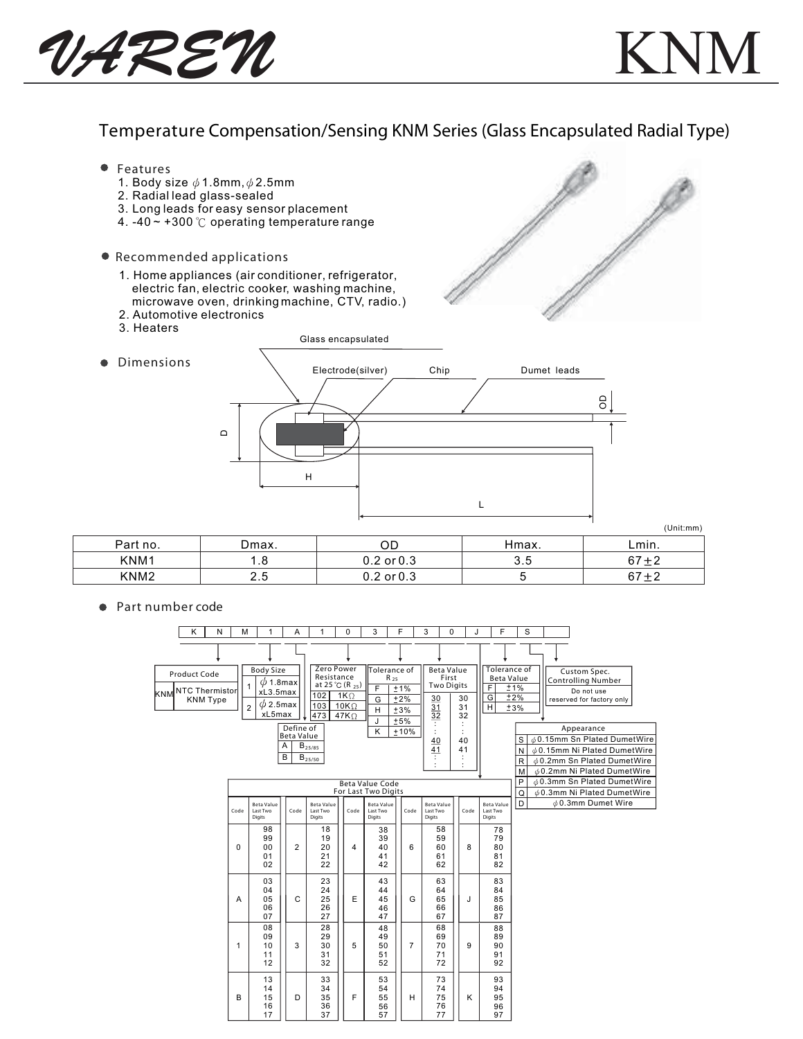

## Temperature Compensation/Sensing KNM Series (Glass Encapsulated Radial Type)

 Features 1. Body size  $\phi$  1.8mm,  $\phi$  2.5mm 2. Radial lead glass-sealed 3. Long leads for easy sensor placement 4. -40  $\sim$  +300 °C operating temperature range Recommended applications 1. Home appliances (air conditioner, refrigerator, electric fan, electric cooker, washing machine, microwave oven, drinking machine, CTV, radio.) 2. Automotive electronics 3. Heaters Glass encapsulated Dimensions  $\bullet$ Electrode(silver) Chip Dumet leads OD  $\mathbf{\Omega}$ H

|                  |       |                |       | (Unit:mm) |
|------------------|-------|----------------|-------|-----------|
| Part no.         | Dmax. | OD             | Hmax. | Lmin.     |
| KNM1             | 1.8   | $0.2$ or $0.3$ | 3.5   | $67 + 2$  |
| KNM <sub>2</sub> | 2.5   | $0.2$ or $0.3$ |       | $67 + 2$  |

L

● Part number code

|     | Κ                     | N               | M            | 1                               | A                              | 1                                   | $\Omega$    | 3                      | F              | 3                     | $\Omega$ | J        | F                       | S                 |  |                                                                  |  |
|-----|-----------------------|-----------------|--------------|---------------------------------|--------------------------------|-------------------------------------|-------------|------------------------|----------------|-----------------------|----------|----------|-------------------------|-------------------|--|------------------------------------------------------------------|--|
|     |                       |                 |              |                                 |                                |                                     |             |                        |                |                       |          |          |                         |                   |  |                                                                  |  |
|     | Product Code          |                 |              | <b>Body Size</b>                |                                | Zero Power                          |             | Tolerance of           |                | <b>Beta Value</b>     |          |          | <b>Tolerance of</b>     |                   |  | Custom Spec.                                                     |  |
|     |                       |                 |              | $\phi$ 1.8max<br>1              |                                | Resistance<br>at 25 °C (R $_{25}$ ) |             | $R_{25}$<br>F          | ±1%            | <b>Two Digits</b>     | First    |          | <b>Beta Value</b><br>F  | ±1%               |  | <b>Controlling Number</b>                                        |  |
| KNM | <b>NTC Thermistor</b> | <b>KNM Type</b> |              | xL3.5max                        |                                | 102                                 | $1K\Omega$  | G                      | ±2%            |                       |          | 30       | $\overline{\mathsf{G}}$ | ±2%               |  | Do not use<br>reserved for factory only                          |  |
|     |                       |                 |              | $\phi$ 2.5max<br>$\overline{c}$ |                                | 103                                 | $10K\Omega$ | H                      | ±3%            | $\frac{30}{31}$       |          | 31       | $\overline{H}$          | ±3%               |  |                                                                  |  |
|     |                       |                 |              | xL5max                          |                                | 473                                 | $47K\Omega$ | J                      | $+5%$          | $\overline{32}$       |          | 32       |                         |                   |  |                                                                  |  |
|     |                       |                 |              |                                 | Define of<br><b>Beta Value</b> |                                     |             | K                      | ±10%           |                       |          | ÷        |                         |                   |  | Appearance                                                       |  |
|     |                       |                 |              |                                 | Α                              | $B_{25/85}$                         |             |                        |                | 40<br>$\overline{41}$ |          | 40<br>41 |                         | S                 |  | <b>¢0.15mm Sn Plated DumetWire</b>                               |  |
|     |                       |                 |              |                                 | B                              | $B_{25/50}$                         |             |                        |                | ÷                     |          |          |                         | N<br>$\mathsf{R}$ |  | 00.15mm Ni Plated DumetWire<br><b>¢0.2mm Sn Plated DumetWire</b> |  |
|     |                       |                 |              |                                 |                                |                                     |             |                        |                |                       |          |          |                         | M                 |  | $\phi$ 0.2mm Ni Plated DumetWire                                 |  |
|     |                       |                 |              |                                 |                                |                                     |             | <b>Beta Value Code</b> |                |                       |          |          |                         | P                 |  | 0.3mm Sn Plated DumetWire                                        |  |
|     |                       |                 |              |                                 |                                |                                     |             | For Last Two Digits    |                |                       |          |          |                         | Q                 |  | $\phi$ 0.3mm Ni Plated DumetWire                                 |  |
|     |                       |                 |              | <b>Beta Value</b>               |                                | <b>Beta Value</b>                   |             | <b>Beta Value</b>      |                | <b>Beta Value</b>     |          |          | <b>Beta Value</b>       | $\overline{D}$    |  | $\phi$ 0.3mm Dumet Wire                                          |  |
|     |                       |                 | Code         | Last Two<br>Digits              | Code                           | Last Two<br>Digits                  | Code        | Last Two<br>Digits     | Code           | Last Two<br>Digits    |          | Code     | Last Two<br>Digits      |                   |  |                                                                  |  |
|     |                       |                 |              | 98                              |                                | 18                                  |             | 38                     |                | 58                    |          |          | 78                      |                   |  |                                                                  |  |
|     |                       |                 |              | 99                              |                                | 19                                  |             | 39                     |                | 59                    |          |          | 79<br>80                |                   |  |                                                                  |  |
|     |                       |                 | $\Omega$     | 0 <sub>0</sub><br>01            | $\overline{2}$                 | 20<br>21                            | 4           | 40<br>41               | 6              | 60<br>61              |          | 8        | 81                      |                   |  |                                                                  |  |
|     |                       |                 |              | 02                              |                                | 22                                  |             | 42                     |                | 62                    |          |          | 82                      |                   |  |                                                                  |  |
|     |                       |                 |              | 03                              |                                | 23                                  |             | 43                     |                | 63                    |          |          | 83                      |                   |  |                                                                  |  |
|     |                       |                 | A            | 04<br>05                        | $\mathbf C$                    | 24<br>25                            | E           | 44                     | G              | 64<br>65              |          | J        | 84<br>85                |                   |  |                                                                  |  |
|     |                       |                 |              | 06                              |                                | 26                                  |             | 45<br>46               |                | 66                    |          |          | 86                      |                   |  |                                                                  |  |
|     |                       |                 |              | 07                              |                                | 27                                  |             | 47                     |                | 67                    |          |          | 87                      |                   |  |                                                                  |  |
|     |                       |                 |              | 08                              |                                | 28                                  |             | 48                     |                | 68                    |          |          | 88                      |                   |  |                                                                  |  |
|     |                       |                 | $\mathbf{1}$ | 09<br>10                        | 3                              | 29<br>30                            | 5           | 49<br>50               | $\overline{7}$ | 69<br>70              |          | 9        | 89<br>90                |                   |  |                                                                  |  |
|     |                       |                 |              | 11                              |                                | 31                                  |             | 51                     |                | 71                    |          |          | 91                      |                   |  |                                                                  |  |
|     |                       |                 |              | 12                              |                                | 32                                  |             | 52                     |                | 72                    |          |          | 92                      |                   |  |                                                                  |  |
|     |                       |                 |              | 13                              |                                | 33                                  |             | 53                     |                | 73                    |          |          | 93                      |                   |  |                                                                  |  |
|     |                       |                 | в            | 14<br>15                        | D                              | 34<br>35                            | F           | 54<br>55               | H              | 74<br>75              |          | K        | 94<br>95                |                   |  |                                                                  |  |
|     |                       |                 |              | 16                              |                                | 36                                  |             | 56                     |                | 76                    |          |          | 96                      |                   |  |                                                                  |  |
|     |                       |                 |              | 17                              |                                | 37                                  |             | 57                     |                | 77                    |          |          | 97                      |                   |  |                                                                  |  |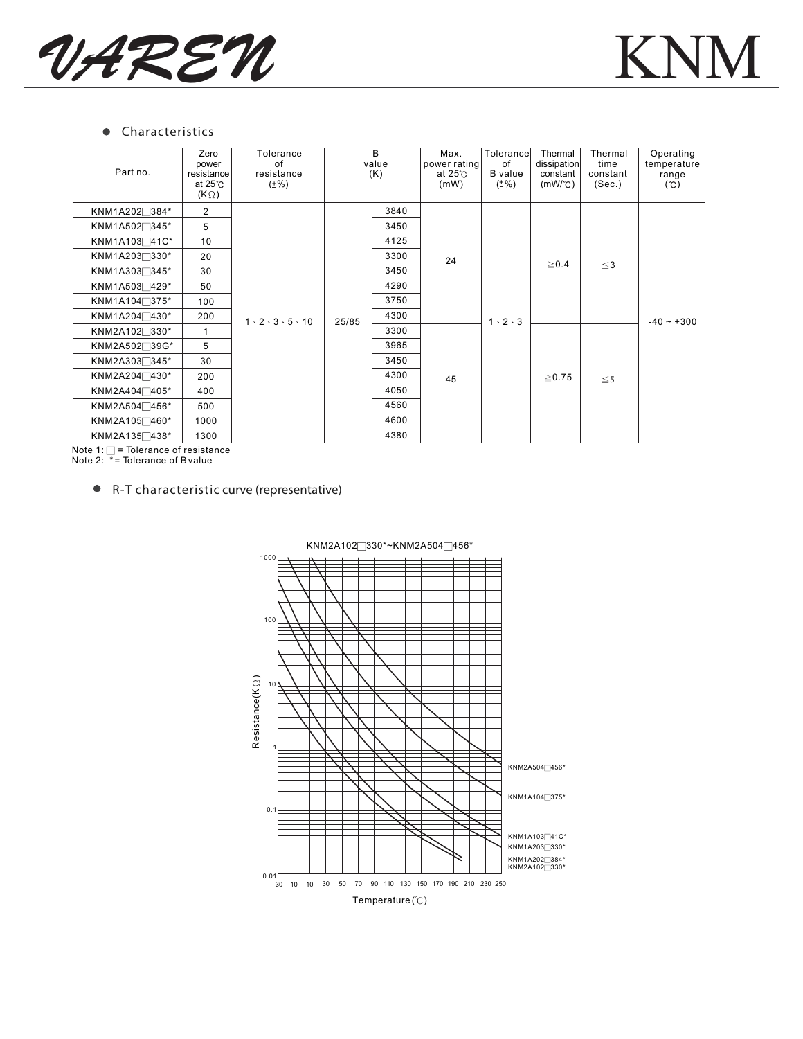



## **•** Characteristics

| Part no.                 | Zero<br>power<br>resistance<br>at $25^\circ$ C<br>$(K \Omega)$ | Tolerance<br>of<br>resistance<br>$(\pm\%)$ |       | B.<br>value<br>(K) | Max.<br>power rating<br>at $25^\circ$ C<br>(mW) | Tolerance<br>of<br><b>B</b> value<br>$(±\%)$ | Thermal<br>dissipation<br>constant<br>$(mW)^{\circ}C$ | Thermal<br>time<br>constant<br>(Sec.) | Operating<br>temperature<br>range<br>(C) |
|--------------------------|----------------------------------------------------------------|--------------------------------------------|-------|--------------------|-------------------------------------------------|----------------------------------------------|-------------------------------------------------------|---------------------------------------|------------------------------------------|
| KNM1A202 <sup>384*</sup> | $\overline{2}$                                                 |                                            | 25/85 | 3840               |                                                 | $1 \cdot 2 \cdot 3$                          | $\geq 0.4$                                            | $\leq$ 3                              | $-40 - +300$                             |
| KNM1A502 <sup>345*</sup> | 5                                                              |                                            |       | 3450               | 24                                              |                                              |                                                       |                                       |                                          |
| KNM1A10341C*             | 10                                                             |                                            |       | 4125               |                                                 |                                              |                                                       |                                       |                                          |
| KNM1A203 330*            | 20                                                             |                                            |       | 3300               |                                                 |                                              |                                                       |                                       |                                          |
| KNM1A303 <sup>345*</sup> | 30                                                             |                                            |       | 3450               |                                                 |                                              |                                                       |                                       |                                          |
| KNM1A5037429*            | 50                                                             |                                            |       | 4290               |                                                 |                                              |                                                       |                                       |                                          |
| KNM1A104 <sup>375*</sup> | 100                                                            | $1 \cdot 2 \cdot 3 \cdot 5 \cdot 10$       |       | 3750               |                                                 |                                              |                                                       |                                       |                                          |
| KNM1A204 <sup>430*</sup> | 200                                                            |                                            |       | 4300               |                                                 |                                              |                                                       |                                       |                                          |
| KNM2A102 <sup>330*</sup> |                                                                |                                            |       | 3300               |                                                 |                                              | $\geq$ 0.75                                           | $\leq$ 5                              |                                          |
| KNM2A502 <sup>39G*</sup> | 5                                                              |                                            |       | 3965               |                                                 |                                              |                                                       |                                       |                                          |
| KNM2A303 <sup>345*</sup> | 30                                                             |                                            |       | 3450               |                                                 |                                              |                                                       |                                       |                                          |
| KNM2A204 <sup>430*</sup> | 200                                                            |                                            |       | 4300               | 45                                              |                                              |                                                       |                                       |                                          |
| KNM2A404 405*            | 400                                                            |                                            |       | 4050               |                                                 |                                              |                                                       |                                       |                                          |
| KNM2A504 456*            | 500                                                            |                                            |       | 4560<br>4600       |                                                 |                                              |                                                       |                                       |                                          |
| KNM2A105 460*            | 1000                                                           |                                            |       |                    |                                                 |                                              |                                                       |                                       |                                          |
| KNM2A135 438*            | 1300                                                           |                                            |       | 4380               |                                                 |                                              |                                                       |                                       |                                          |

Note 1: = Tolerance of resistance Note 2: \* = Tolerance of B value

## R-T characteristic curve (representative)